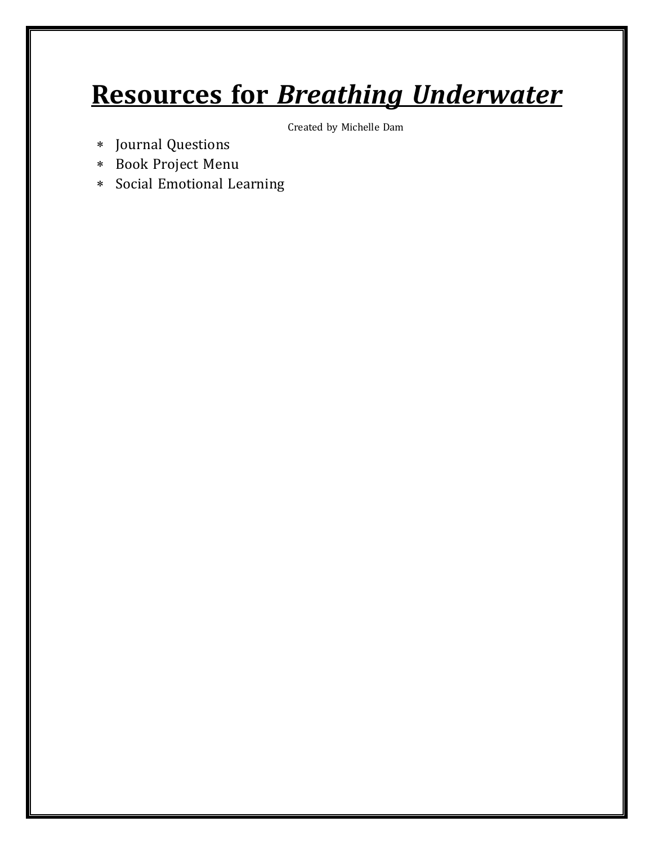# **Resources for** *Breathing Underwater*

Created by Michelle Dam

- \* Journal Questions
- \* Book Project Menu
- \* Social Emotional Learning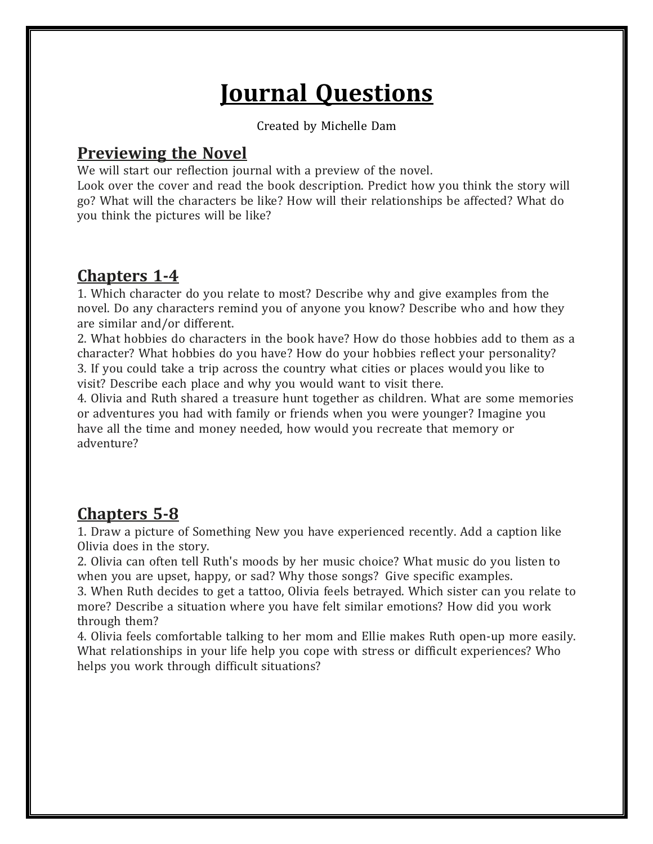# **Journal Questions**

Created by Michelle Dam

**Previewing the Novel**<br>We will start our reflection journal with a preview of the novel.

Look over the cover and read the book description. Predict how you think the story will go? What will the characters be like? How will their relationships be affected? What do you think the pictures will be like?

**Chapters 1-4**<br>1. Which character do you relate to most? Describe why and give examples from the novel. Do any characters remind you of anyone you know? Describe who and how they are similar and/or different.

2. What hobbies do characters in the book have? How do those hobbies add to them as a character? What hobbies do you have? How do your hobbies reflect your personality? 3. If you could take a trip across the country what cities or places would you like to visit? Describe each place and why you would want to visit there.

4. Olivia and Ruth shared a treasure hunt together as children. What are some memories or adventures you had with family or friends when you were younger? Imagine you have all the time and money needed, how would you recreate that memory or adventure?

**Chapters 5-8**<br>1. Draw a picture of Something New you have experienced recently. Add a caption like Olivia does in the story.

2. Olivia can often tell Ruth's moods by her music choice? What music do you listen to when you are upset, happy, or sad? Why those songs? Give specific examples.

3. When Ruth decides to get a tattoo, Olivia feels betrayed. Which sister can you relate to more? Describe a situation where you have felt similar emotions? How did you work through them?

4. Olivia feels comfortable talking to her mom and Ellie makes Ruth open-up more easily. What relationships in your life help you cope with stress or difficult experiences? Who helps you work through difficult situations?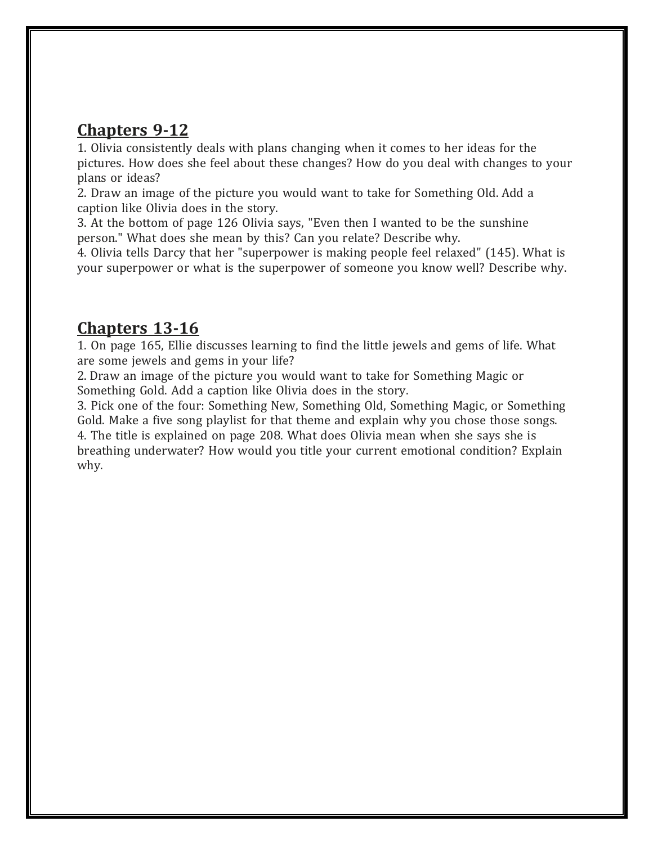**Chapters 9-12**<br>1. Olivia consistently deals with plans changing when it comes to her ideas for the pictures. How does she feel about these changes? How do you deal with changes to your plans or ideas?

2. Draw an image of the picture you would want to take for Something Old. Add a caption like Olivia does in the story.

3. At the bottom of page 126 Olivia says, "Even then I wanted to be the sunshine person." What does she mean by this? Can you relate? Describe why.

4. Olivia tells Darcy that her "superpower is making people feel relaxed" (145). What is your superpower or what is the superpower of someone you know well? Describe why.

**Chapters 13-16**<br>1. On page 165, Ellie discusses learning to find the little jewels and gems of life. What are some jewels and gems in your life?

2. Draw an image of the picture you would want to take for Something Magic or Something Gold. Add a caption like Olivia does in the story.

3. Pick one of the four: Something New, Something Old, Something Magic, or Something Gold. Make a five song playlist for that theme and explain why you chose those songs. 4. The title is explained on page 208. What does Olivia mean when she says she is breathing underwater? How would you title your current emotional condition? Explain why.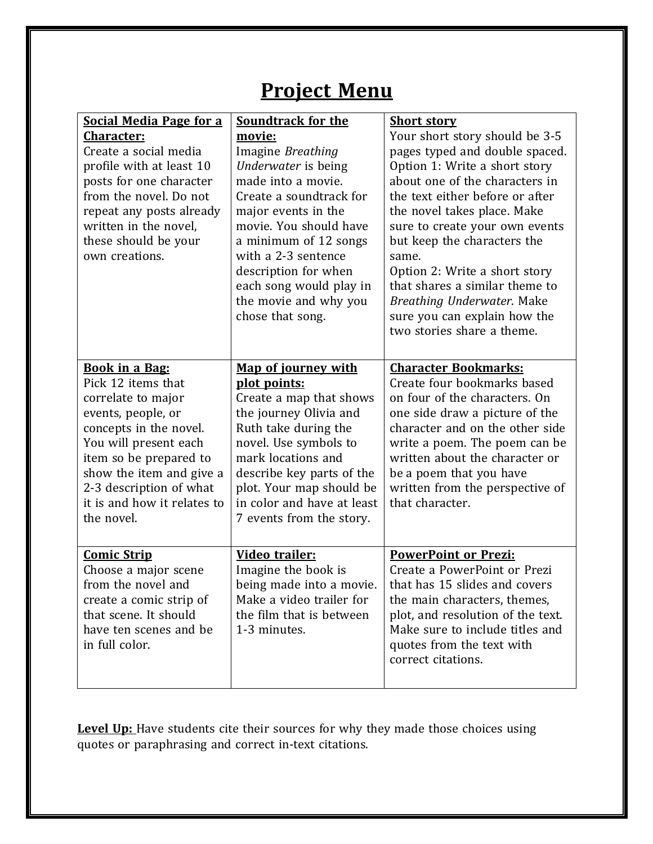### **Project Menu**

| <b>Social Media Page for a</b><br><b>Character:</b><br>Create a social media<br>profile with at least 10<br>posts for one character<br>from the novel. Do not<br>repeat any posts already<br>written in the novel,<br>these should be your<br>own creations.             | <b>Soundtrack for the</b><br>movie:<br>Imagine Breathing<br>Underwater is being<br>made into a movie.<br>Create a soundtrack for<br>major events in the<br>movie. You should have<br>a minimum of 12 songs<br>with a 2-3 sentence<br>description for when<br>each song would play in<br>the movie and why you<br>chose that song. | <b>Short story</b><br>Your short story should be 3-5<br>pages typed and double spaced.<br>Option 1: Write a short story<br>about one of the characters in<br>the text either before or after<br>the novel takes place. Make<br>sure to create your own events<br>but keep the characters the<br>same.<br>Option 2: Write a short story<br>that shares a similar theme to<br>Breathing Underwater. Make<br>sure you can explain how the<br>two stories share a theme. |
|--------------------------------------------------------------------------------------------------------------------------------------------------------------------------------------------------------------------------------------------------------------------------|-----------------------------------------------------------------------------------------------------------------------------------------------------------------------------------------------------------------------------------------------------------------------------------------------------------------------------------|----------------------------------------------------------------------------------------------------------------------------------------------------------------------------------------------------------------------------------------------------------------------------------------------------------------------------------------------------------------------------------------------------------------------------------------------------------------------|
| <b>Book in a Bag:</b><br>Pick 12 items that<br>correlate to major<br>events, people, or<br>concepts in the novel.<br>You will present each<br>item so be prepared to<br>show the item and give a<br>2-3 description of what<br>it is and how it relates to<br>the novel. | Map of journey with<br>plot points:<br>Create a map that shows<br>the journey Olivia and<br>Ruth take during the<br>novel. Use symbols to<br>mark locations and<br>describe key parts of the<br>plot. Your map should be<br>in color and have at least<br>7 events from the story.                                                | <b>Character Bookmarks:</b><br>Create four bookmarks based<br>on four of the characters. On<br>one side draw a picture of the<br>character and on the other side<br>write a poem. The poem can be<br>written about the character or<br>be a poem that you have<br>written from the perspective of<br>that character.                                                                                                                                                 |
| <b>Comic Strip</b><br>Choose a major scene<br>from the novel and<br>create a comic strip of<br>that scene. It should<br>have ten scenes and be<br>in full color.                                                                                                         | Video trailer:<br>Imagine the book is<br>being made into a movie.<br>Make a video trailer for<br>the film that is between<br>1-3 minutes.                                                                                                                                                                                         | <b>PowerPoint or Prezi:</b><br>Create a PowerPoint or Prezi<br>that has 15 slides and covers<br>the main characters, themes,<br>plot, and resolution of the text.<br>Make sure to include titles and<br>quotes from the text with<br>correct citations.                                                                                                                                                                                                              |

**Level Up:** Have students cite their sources for why they made those choices using quotes or paraphrasing and correct in-text citations.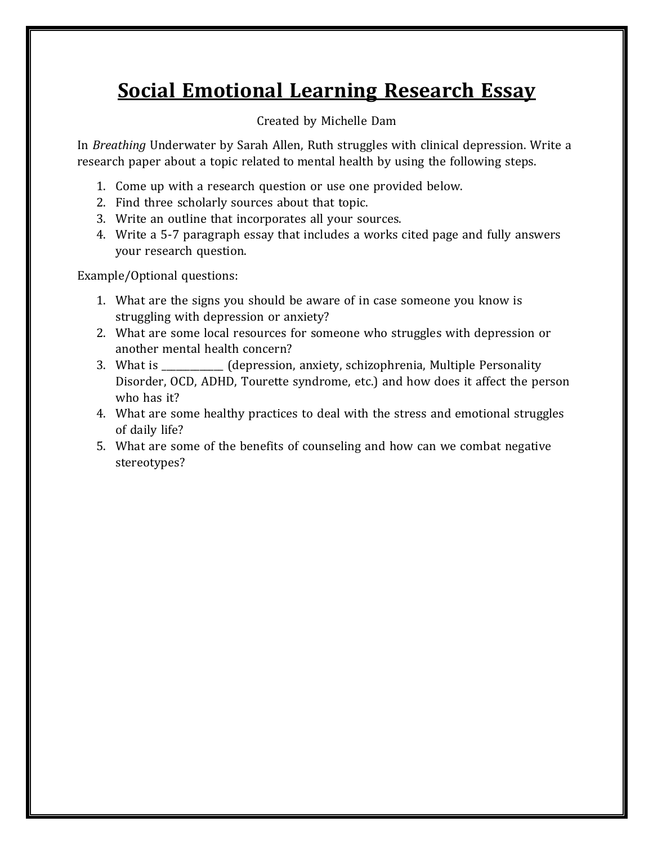### **Social Emotional Learning Research Essay**

### Created by Michelle Dam

In *Breathing* Underwater by Sarah Allen, Ruth struggles with clinical depression. Write a research paper about a topic related to mental health by using the following steps.

- 1. Come up with a research question or use one provided below.
- 2. Find three scholarly sources about that topic.
- 3. Write an outline that incorporates all your sources.
- 4. Write a 5-7 paragraph essay that includes a works cited page and fully answers your research question.

Example/Optional questions:

- 1. What are the signs you should be aware of in case someone you know is struggling with depression or anxiety?
- 2. What are some local resources for someone who struggles with depression or another mental health concern?
- 3. What is \_\_\_\_\_\_\_\_\_\_\_\_\_ (depression, anxiety, schizophrenia, Multiple Personality Disorder, OCD, ADHD, Tourette syndrome, etc.) and how does it affect the person who has it?
- 4. What are some healthy practices to deal with the stress and emotional struggles of daily life?
- 5. What are some of the benefits of counseling and how can we combat negative stereotypes?